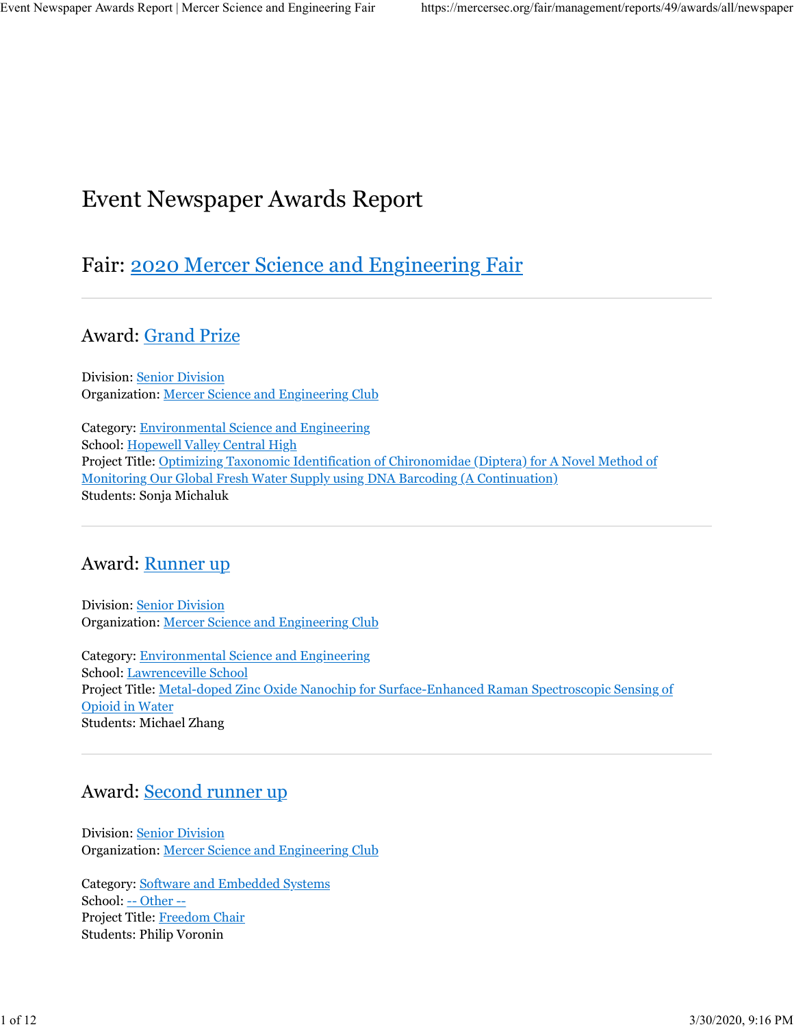# Event Newspaper Awards Report

# Fair: 2020 Mercer Science and Engineering Fair

Award: Grand Prize

Division: Senior Division Organization: Mercer Science and Engineering Club

Category: Environmental Science and Engineering School: Hopewell Valley Central High Project Title: Optimizing Taxonomic Identification of Chironomidae (Diptera) for A Novel Method of Monitoring Our Global Fresh Water Supply using DNA Barcoding (A Continuation) Students: Sonja Michaluk

## Award: Runner up

Division: Senior Division Organization: Mercer Science and Engineering Club

Category: Environmental Science and Engineering School: Lawrenceville School Project Title: Metal-doped Zinc Oxide Nanochip for Surface-Enhanced Raman Spectroscopic Sensing of Opioid in Water Students: Michael Zhang

# Award: Second runner up

Division: Senior Division Organization: Mercer Science and Engineering Club

Category: Software and Embedded Systems School: -- Other -- Project Title: Freedom Chair Students: Philip Voronin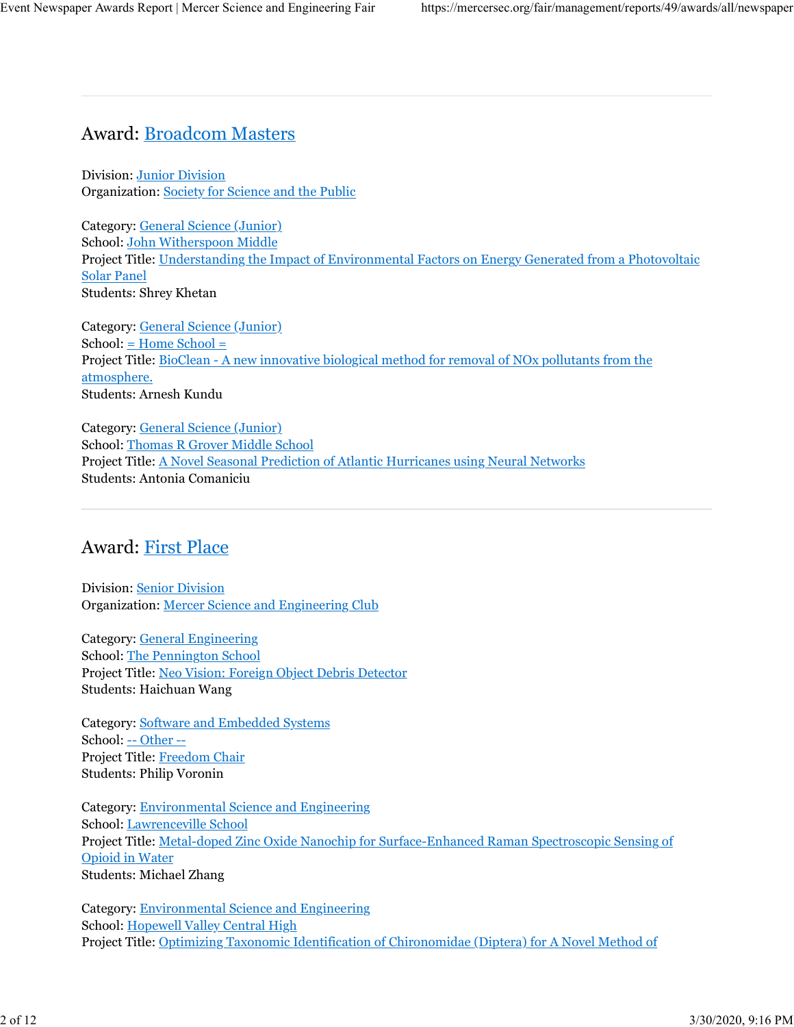## Award: Broadcom Masters

Division: Junior Division Organization: Society for Science and the Public

Category: General Science (Junior) School: John Witherspoon Middle Project Title: Understanding the Impact of Environmental Factors on Energy Generated from a Photovoltaic Solar Panel Students: Shrey Khetan

Category: General Science (Junior) School: = Home School = Project Title: BioClean - A new innovative biological method for removal of NOx pollutants from the atmosphere. Students: Arnesh Kundu

Category: General Science (Junior) School: Thomas R Grover Middle School Project Title: A Novel Seasonal Prediction of Atlantic Hurricanes using Neural Networks Students: Antonia Comaniciu

## Award: First Place

Division: Senior Division Organization: Mercer Science and Engineering Club

Category: General Engineering School: The Pennington School Project Title: Neo Vision: Foreign Object Debris Detector Students: Haichuan Wang

Category: Software and Embedded Systems School: -- Other -- Project Title: Freedom Chair Students: Philip Voronin

Category: Environmental Science and Engineering School: Lawrenceville School Project Title: Metal-doped Zinc Oxide Nanochip for Surface-Enhanced Raman Spectroscopic Sensing of Opioid in Water Students: Michael Zhang

Category: Environmental Science and Engineering School: Hopewell Valley Central High Project Title: Optimizing Taxonomic Identification of Chironomidae (Diptera) for A Novel Method of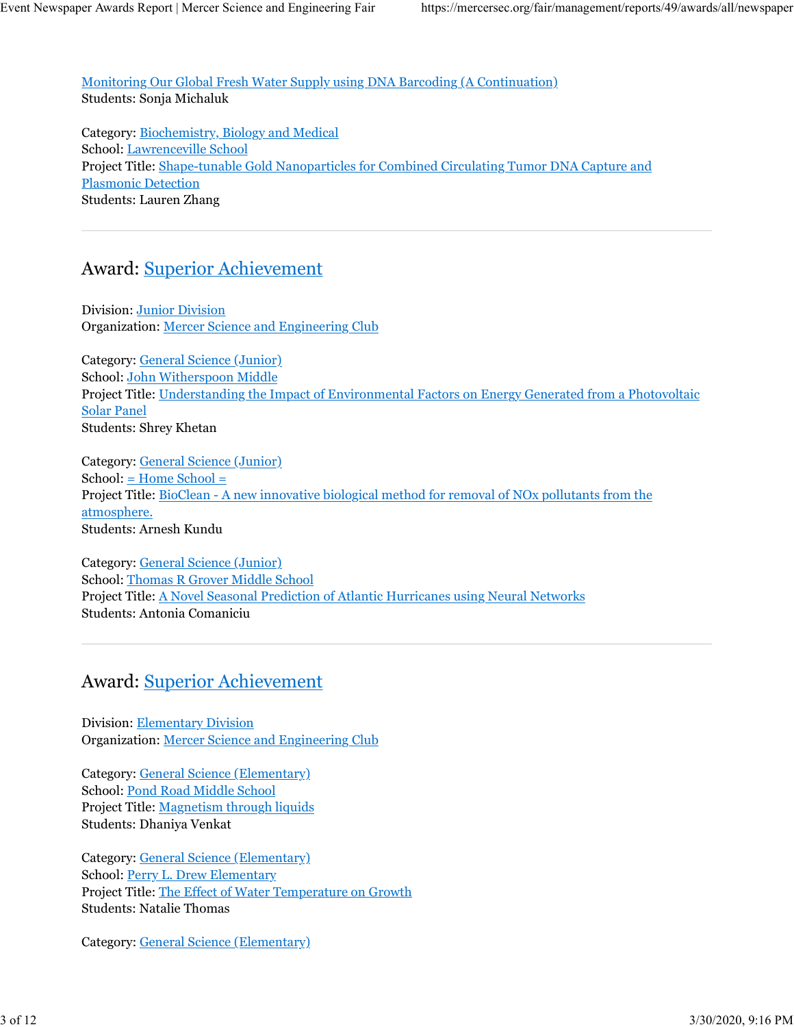Monitoring Our Global Fresh Water Supply using DNA Barcoding (A Continuation) Students: Sonja Michaluk

Category: Biochemistry, Biology and Medical School: Lawrenceville School Project Title: Shape-tunable Gold Nanoparticles for Combined Circulating Tumor DNA Capture and Plasmonic Detection Students: Lauren Zhang

# Award: Superior Achievement

Division: Junior Division Organization: Mercer Science and Engineering Club

Category: General Science (Junior) School: John Witherspoon Middle Project Title: Understanding the Impact of Environmental Factors on Energy Generated from a Photovoltaic Solar Panel Students: Shrey Khetan

Category: General Science (Junior) School: = Home School = Project Title: BioClean - A new innovative biological method for removal of NOx pollutants from the atmosphere. Students: Arnesh Kundu

Category: General Science (Junior) School: Thomas R Grover Middle School Project Title: A Novel Seasonal Prediction of Atlantic Hurricanes using Neural Networks Students: Antonia Comaniciu

#### Award: Superior Achievement

Division: Elementary Division Organization: Mercer Science and Engineering Club

Category: General Science (Elementary) School: Pond Road Middle School Project Title: Magnetism through liquids Students: Dhaniya Venkat

Category: General Science (Elementary) School: Perry L. Drew Elementary Project Title: The Effect of Water Temperature on Growth Students: Natalie Thomas

Category: General Science (Elementary)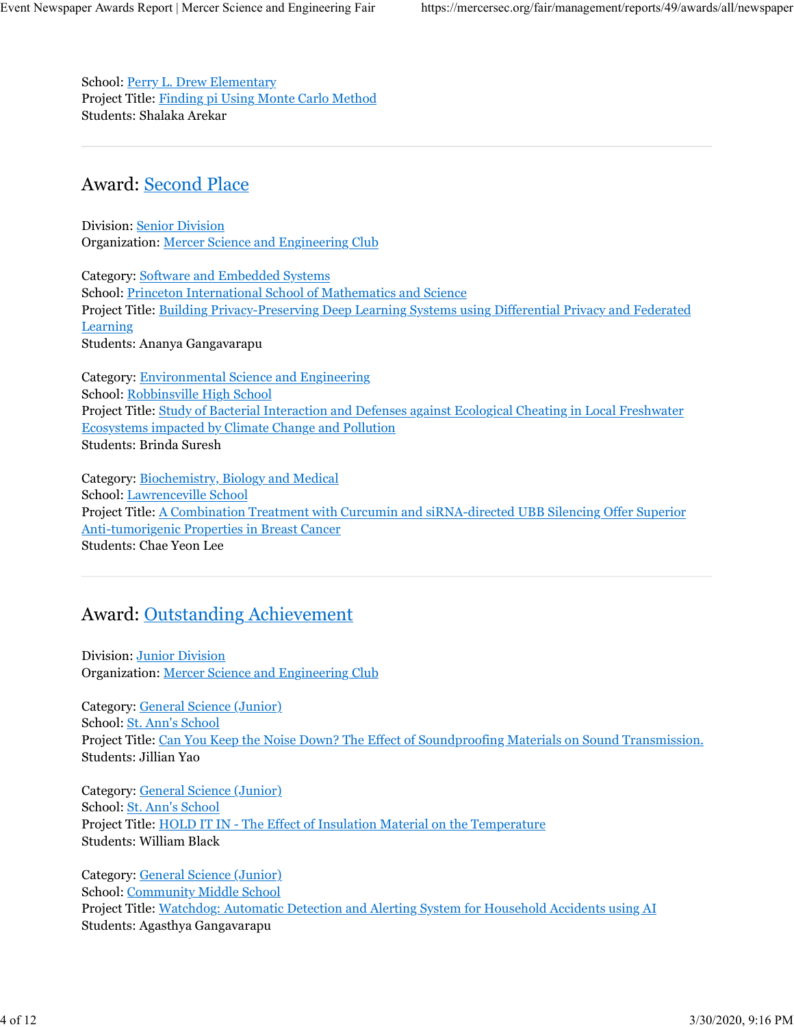School: Perry L. Drew Elementary Project Title: Finding pi Using Monte Carlo Method Students: Shalaka Arekar

#### Award: Second Place

Division: Senior Division Organization: Mercer Science and Engineering Club

Category: Software and Embedded Systems School: Princeton International School of Mathematics and Science Project Title: Building Privacy-Preserving Deep Learning Systems using Differential Privacy and Federated Learning Students: Ananya Gangavarapu

Category: Environmental Science and Engineering School: Robbinsville High School Project Title: Study of Bacterial Interaction and Defenses against Ecological Cheating in Local Freshwater Ecosystems impacted by Climate Change and Pollution Students: Brinda Suresh

Category: Biochemistry, Biology and Medical School: Lawrenceville School Project Title: A Combination Treatment with Curcumin and siRNA-directed UBB Silencing Offer Superior Anti-tumorigenic Properties in Breast Cancer Students: Chae Yeon Lee

## Award: Outstanding Achievement

Division: Junior Division Organization: Mercer Science and Engineering Club

Category: General Science (Junior) School: St. Ann's School Project Title: Can You Keep the Noise Down? The Effect of Soundproofing Materials on Sound Transmission. Students: Jillian Yao

Category: General Science (Junior) School: St. Ann's School Project Title: HOLD IT IN - The Effect of Insulation Material on the Temperature Students: William Black

Category: General Science (Junior) School: Community Middle School Project Title: Watchdog: Automatic Detection and Alerting System for Household Accidents using AI Students: Agasthya Gangavarapu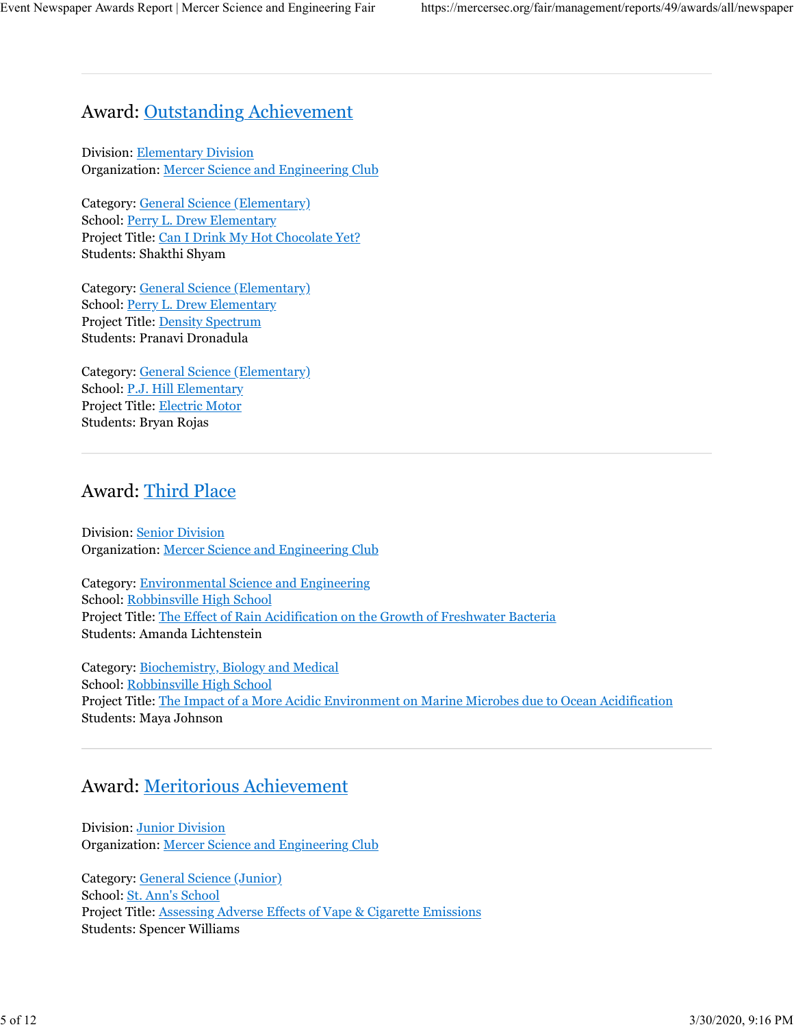## Award: Outstanding Achievement

Division: Elementary Division Organization: Mercer Science and Engineering Club

Category: General Science (Elementary) School: Perry L. Drew Elementary Project Title: Can I Drink My Hot Chocolate Yet? Students: Shakthi Shyam

Category: General Science (Elementary) School: Perry L. Drew Elementary Project Title: Density Spectrum Students: Pranavi Dronadula

Category: General Science (Elementary) School: P.J. Hill Elementary Project Title: Electric Motor Students: Bryan Rojas

## Award: Third Place

Division: Senior Division Organization: Mercer Science and Engineering Club

Category: Environmental Science and Engineering School: Robbinsville High School Project Title: The Effect of Rain Acidification on the Growth of Freshwater Bacteria Students: Amanda Lichtenstein

Category: Biochemistry, Biology and Medical School: Robbinsville High School Project Title: The Impact of a More Acidic Environment on Marine Microbes due to Ocean Acidification Students: Maya Johnson

## Award: Meritorious Achievement

Division: Junior Division Organization: Mercer Science and Engineering Club

Category: General Science (Junior) School: St. Ann's School Project Title: Assessing Adverse Effects of Vape & Cigarette Emissions Students: Spencer Williams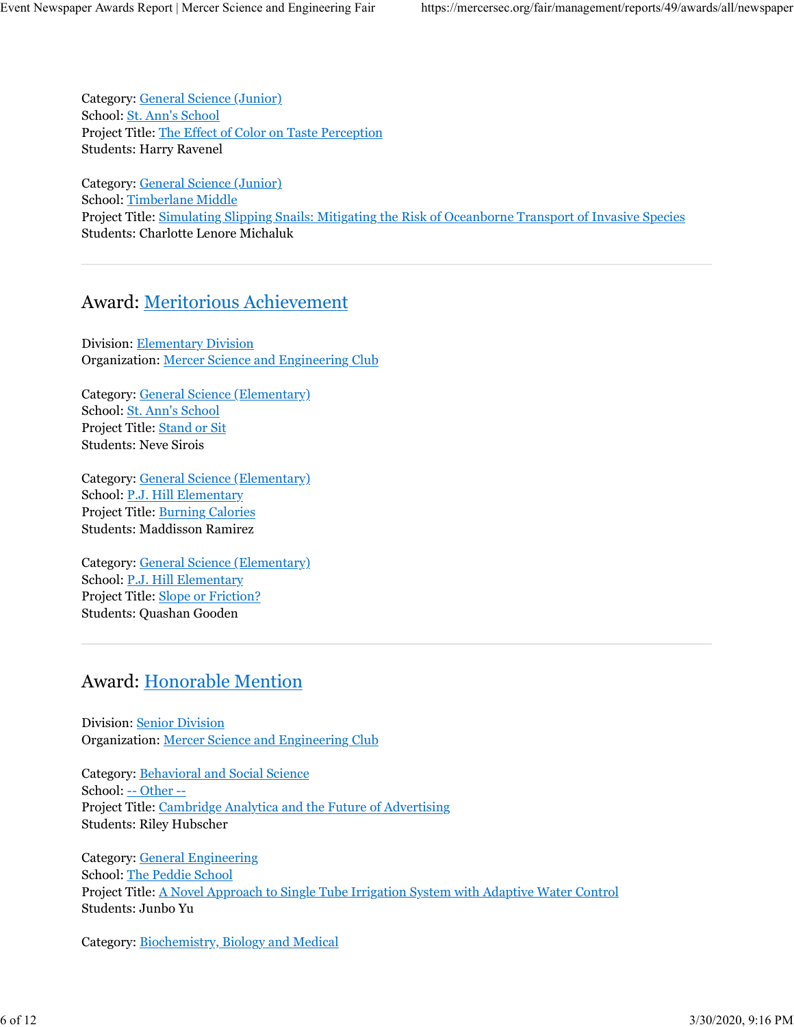Category: General Science (Junior) School: St. Ann's School Project Title: The Effect of Color on Taste Perception Students: Harry Ravenel

Category: General Science (Junior) School: Timberlane Middle Project Title: Simulating Slipping Snails: Mitigating the Risk of Oceanborne Transport of Invasive Species Students: Charlotte Lenore Michaluk

#### Award: Meritorious Achievement

Division: Elementary Division Organization: Mercer Science and Engineering Club

Category: General Science (Elementary) School: St. Ann's School Project Title: Stand or Sit Students: Neve Sirois

Category: General Science (Elementary) School: P.J. Hill Elementary Project Title: Burning Calories Students: Maddisson Ramirez

Category: General Science (Elementary) School: P.J. Hill Elementary Project Title: Slope or Friction? Students: Quashan Gooden

## Award: Honorable Mention

Division: Senior Division Organization: Mercer Science and Engineering Club

Category: Behavioral and Social Science School: -- Other -- Project Title: Cambridge Analytica and the Future of Advertising Students: Riley Hubscher

Category: General Engineering School: The Peddie School Project Title: A Novel Approach to Single Tube Irrigation System with Adaptive Water Control Students: Junbo Yu

Category: Biochemistry, Biology and Medical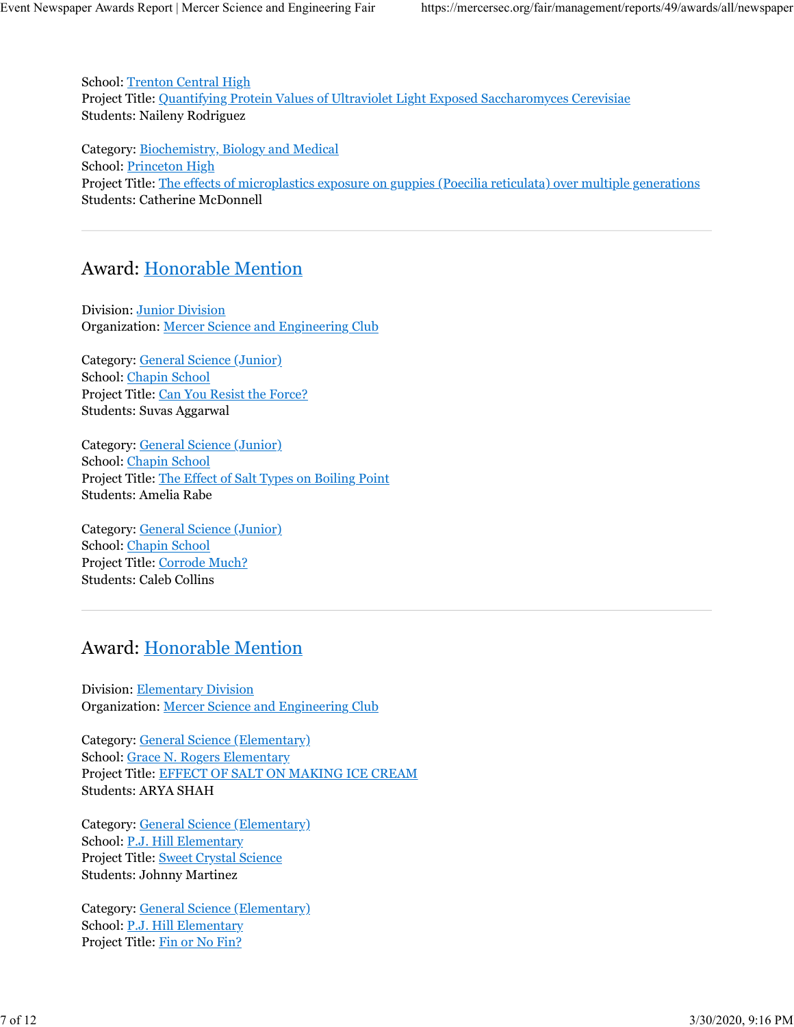School: Trenton Central High Project Title: Quantifying Protein Values of Ultraviolet Light Exposed Saccharomyces Cerevisiae Students: Naileny Rodriguez

Category: Biochemistry, Biology and Medical School: Princeton High Project Title: The effects of microplastics exposure on guppies (Poecilia reticulata) over multiple generations Students: Catherine McDonnell

## Award: Honorable Mention

Division: Junior Division Organization: Mercer Science and Engineering Club

Category: General Science (Junior) School: Chapin School Project Title: Can You Resist the Force? Students: Suvas Aggarwal

Category: General Science (Junior) School: Chapin School Project Title: The Effect of Salt Types on Boiling Point Students: Amelia Rabe

Category: General Science (Junior) School: Chapin School Project Title: Corrode Much? Students: Caleb Collins

## Award: Honorable Mention

Division: Elementary Division Organization: Mercer Science and Engineering Club

Category: General Science (Elementary) School: Grace N. Rogers Elementary Project Title: EFFECT OF SALT ON MAKING ICE CREAM Students: ARYA SHAH

Category: General Science (Elementary) School: P.J. Hill Elementary Project Title: Sweet Crystal Science Students: Johnny Martinez

Category: General Science (Elementary) School: P.J. Hill Elementary Project Title: Fin or No Fin?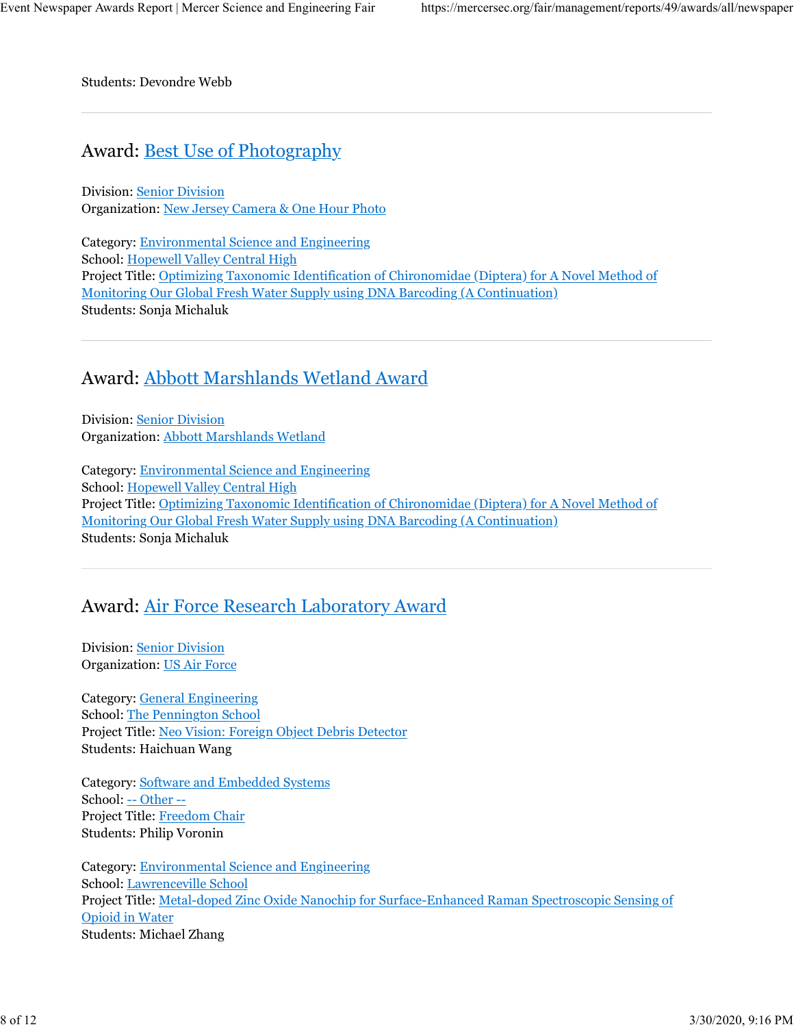Students: Devondre Webb

#### Award: Best Use of Photography

Division: Senior Division Organization: New Jersey Camera & One Hour Photo

Category: Environmental Science and Engineering School: Hopewell Valley Central High Project Title: Optimizing Taxonomic Identification of Chironomidae (Diptera) for A Novel Method of Monitoring Our Global Fresh Water Supply using DNA Barcoding (A Continuation) Students: Sonja Michaluk

#### Award: Abbott Marshlands Wetland Award

Division: Senior Division Organization: Abbott Marshlands Wetland

Category: Environmental Science and Engineering School: Hopewell Valley Central High Project Title: Optimizing Taxonomic Identification of Chironomidae (Diptera) for A Novel Method of Monitoring Our Global Fresh Water Supply using DNA Barcoding (A Continuation) Students: Sonja Michaluk

#### Award: Air Force Research Laboratory Award

Division: Senior Division Organization: US Air Force

Category: General Engineering School: The Pennington School Project Title: Neo Vision: Foreign Object Debris Detector Students: Haichuan Wang

Category: Software and Embedded Systems School: -- Other -- Project Title: Freedom Chair Students: Philip Voronin

Category: Environmental Science and Engineering School: Lawrenceville School Project Title: Metal-doped Zinc Oxide Nanochip for Surface-Enhanced Raman Spectroscopic Sensing of Opioid in Water Students: Michael Zhang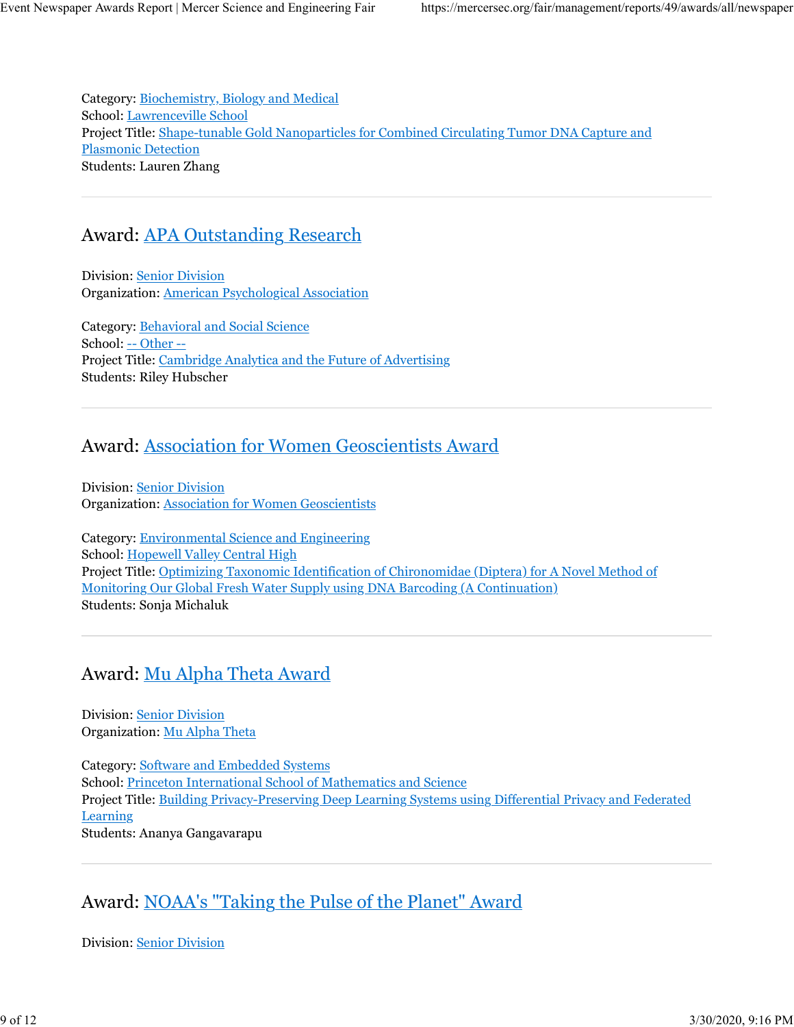Category: Biochemistry, Biology and Medical School: Lawrenceville School Project Title: Shape-tunable Gold Nanoparticles for Combined Circulating Tumor DNA Capture and Plasmonic Detection Students: Lauren Zhang

## Award: APA Outstanding Research

Division: Senior Division Organization: American Psychological Association

Category: Behavioral and Social Science School: -- Other -- Project Title: Cambridge Analytica and the Future of Advertising Students: Riley Hubscher

## Award: Association for Women Geoscientists Award

Division: Senior Division Organization: Association for Women Geoscientists

Category: Environmental Science and Engineering School: Hopewell Valley Central High Project Title: Optimizing Taxonomic Identification of Chironomidae (Diptera) for A Novel Method of Monitoring Our Global Fresh Water Supply using DNA Barcoding (A Continuation) Students: Sonja Michaluk

## Award: Mu Alpha Theta Award

Division: Senior Division Organization: Mu Alpha Theta

Category: Software and Embedded Systems School: Princeton International School of Mathematics and Science Project Title: Building Privacy-Preserving Deep Learning Systems using Differential Privacy and Federated Learning Students: Ananya Gangavarapu

## Award: NOAA's "Taking the Pulse of the Planet" Award

Division: Senior Division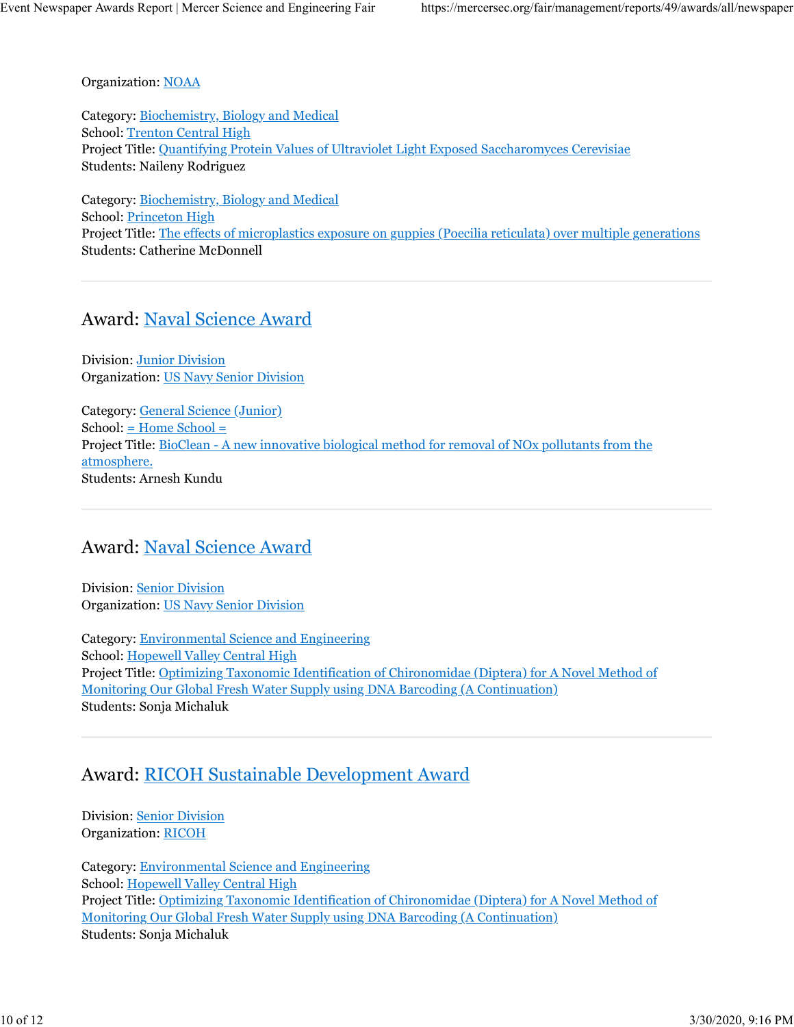Organization: NOAA

Category: Biochemistry, Biology and Medical School: Trenton Central High Project Title: Quantifying Protein Values of Ultraviolet Light Exposed Saccharomyces Cerevisiae Students: Naileny Rodriguez

Category: Biochemistry, Biology and Medical School: Princeton High Project Title: The effects of microplastics exposure on guppies (Poecilia reticulata) over multiple generations Students: Catherine McDonnell

#### Award: Naval Science Award

Division: Junior Division Organization: US Navy Senior Division

Category: General Science (Junior)  $School: \underline{=}$  Home  $School =$ Project Title: BioClean - A new innovative biological method for removal of NOx pollutants from the atmosphere. Students: Arnesh Kundu

## Award: Naval Science Award

Division: Senior Division Organization: US Navy Senior Division

Category: Environmental Science and Engineering School: Hopewell Valley Central High Project Title: Optimizing Taxonomic Identification of Chironomidae (Diptera) for A Novel Method of Monitoring Our Global Fresh Water Supply using DNA Barcoding (A Continuation) Students: Sonja Michaluk

## Award: RICOH Sustainable Development Award

Division: Senior Division Organization: RICOH

Category: Environmental Science and Engineering School: Hopewell Valley Central High Project Title: Optimizing Taxonomic Identification of Chironomidae (Diptera) for A Novel Method of Monitoring Our Global Fresh Water Supply using DNA Barcoding (A Continuation) Students: Sonja Michaluk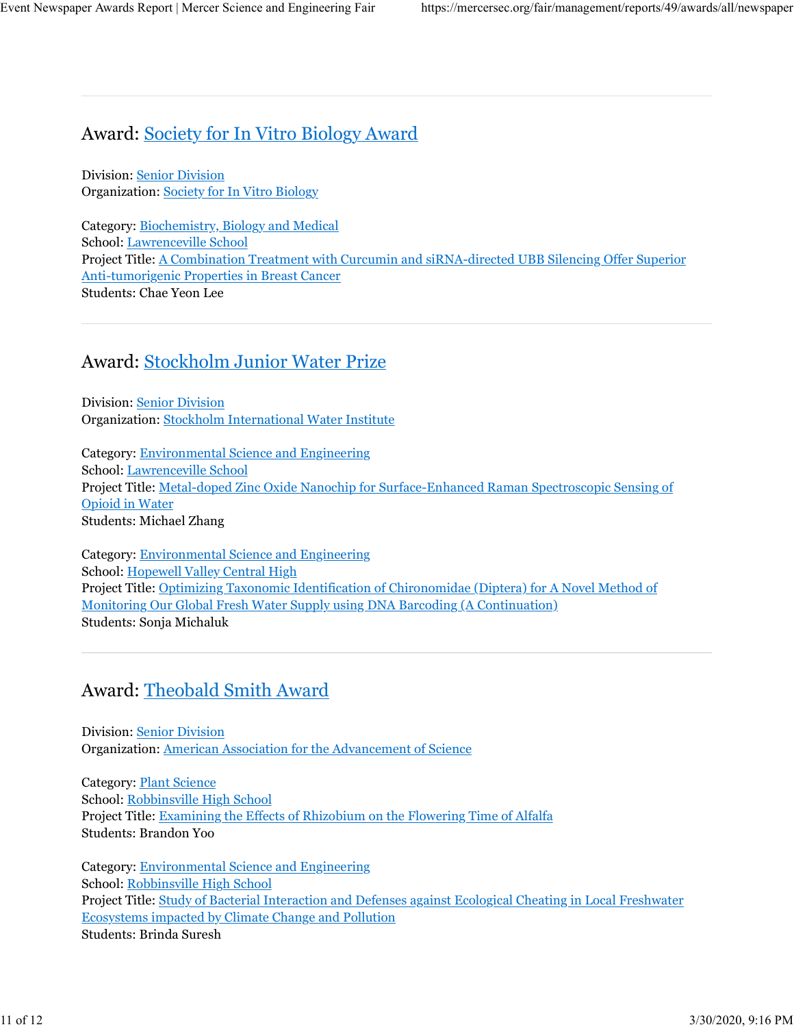## Award: Society for In Vitro Biology Award

Division: Senior Division Organization: Society for In Vitro Biology

Category: **Biochemistry**, **Biology and Medical** School: Lawrenceville School Project Title: A Combination Treatment with Curcumin and siRNA-directed UBB Silencing Offer Superior Anti-tumorigenic Properties in Breast Cancer Students: Chae Yeon Lee

## Award: Stockholm Junior Water Prize

Division: Senior Division Organization: Stockholm International Water Institute

Category: Environmental Science and Engineering School: Lawrenceville School Project Title: Metal-doped Zinc Oxide Nanochip for Surface-Enhanced Raman Spectroscopic Sensing of Opioid in Water Students: Michael Zhang

Category: Environmental Science and Engineering School: Hopewell Valley Central High Project Title: Optimizing Taxonomic Identification of Chironomidae (Diptera) for A Novel Method of Monitoring Our Global Fresh Water Supply using DNA Barcoding (A Continuation) Students: Sonja Michaluk

# Award: Theobald Smith Award

Division: Senior Division Organization: American Association for the Advancement of Science

Category: Plant Science School: Robbinsville High School Project Title: Examining the Effects of Rhizobium on the Flowering Time of Alfalfa Students: Brandon Yoo

Category: Environmental Science and Engineering School: Robbinsville High School Project Title: Study of Bacterial Interaction and Defenses against Ecological Cheating in Local Freshwater Ecosystems impacted by Climate Change and Pollution Students: Brinda Suresh